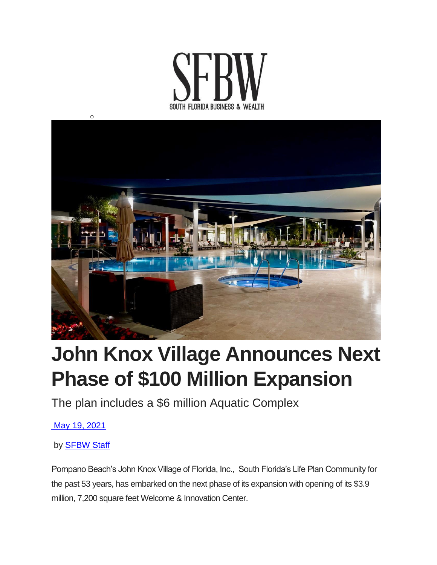



## **John Knox Village Announces Next Phase of \$100 Million Expansion**

The plan includes a \$6 million Aquatic Complex

May 19, [2021](https://sfbwmag.com/2021/05/)

by **[SFBW](https://sfbwmag.com/author/sfbwstaff/) Staff** 

Pompano Beach's John Knox Village of Florida, Inc., South Florida's Life Plan Community for the past 53 years, has embarked on the next phase of its expansion with opening of its \$3.9 million, 7,200 square feet Welcome & Innovation Center.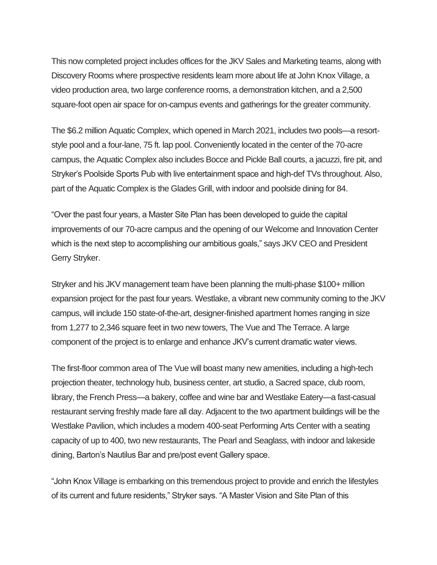This now completed project includes offices for the JKV Sales and Marketing teams, along with Discovery Rooms where prospective residents learn more about life at John Knox Village, a video production area, two large conference rooms, a demonstration kitchen, and a 2,500 square-foot open air space for on-campus events and gatherings for the greater community.

The \$6.2 million Aquatic Complex, which opened in March 2021, includes two pools—a resortstyle pool and a four-lane, 75 ft. lap pool. Conveniently located in the center of the 70-acre campus, the Aquatic Complex also includes Bocce and Pickle Ball courts, a jacuzzi, fire pit, and Stryker's Poolside Sports Pub with live entertainment space and high-def TVs throughout. Also, part of the Aquatic Complex is the Glades Grill, with indoor and poolside dining for 84.

"Over the past four years, a Master Site Plan has been developed to guide the capital improvements of our 70-acre campus and the opening of our Welcome and Innovation Center which is the next step to accomplishing our ambitious goals," says JKV CEO and President Gerry Stryker.

Stryker and his JKV management team have been planning the multi-phase \$100+ million expansion project for the past four years. Westlake, a vibrant new community coming to the JKV campus, will include 150 state-of-the-art, designer-finished apartment homes ranging in size from 1,277 to 2,346 square feet in two new towers, The Vue and The Terrace. A large component of the project is to enlarge and enhance JKV's current dramatic water views.

The first-floor common area of The Vue will boast many new amenities, including a high-tech projection theater, technology hub, business center, art studio, a Sacred space, club room, library, the French Press—a bakery, coffee and wine bar and Westlake Eatery—a fast-casual restaurant serving freshly made fare all day. Adjacent to the two apartment buildings will be the Westlake Pavilion, which includes a modern 400-seat Performing Arts Center with a seating capacity of up to 400, two new restaurants, The Pearl and Seaglass, with indoor and lakeside dining, Barton's Nautilus Bar and pre/post event Gallery space.

"John Knox Village is embarking on this tremendous project to provide and enrich the lifestyles of its current and future residents," Stryker says. "A Master Vision and Site Plan of this